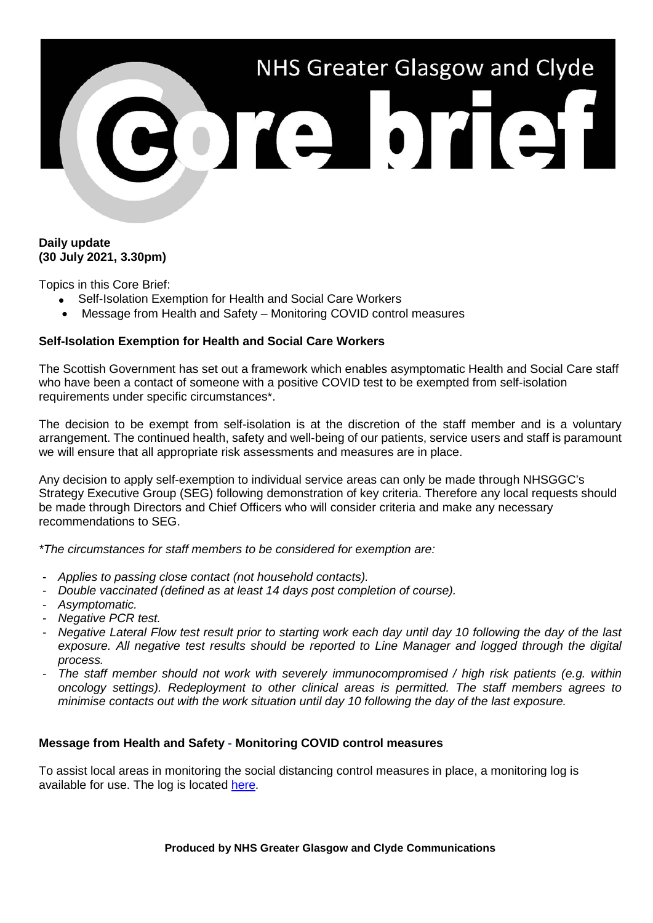

## **Daily update (30 July 2021, 3.30pm)**

Topics in this Core Brief:

- Self-Isolation Exemption for Health and Social Care Workers
- Message from Health and Safety Monitoring COVID control measures

## **Self-Isolation Exemption for Health and Social Care Workers**

The Scottish Government has set out a framework which enables asymptomatic Health and Social Care staff who have been a contact of someone with a positive COVID test to be exempted from self-isolation requirements under specific circumstances\*.

The decision to be exempt from self-isolation is at the discretion of the staff member and is a voluntary arrangement. The continued health, safety and well-being of our patients, service users and staff is paramount we will ensure that all appropriate risk assessments and measures are in place.

Any decision to apply self-exemption to individual service areas can only be made through NHSGGC's Strategy Executive Group (SEG) following demonstration of key criteria. Therefore any local requests should be made through Directors and Chief Officers who will consider criteria and make any necessary recommendations to SEG.

*\*The circumstances for staff members to be considered for exemption are:*

- *Applies to passing close contact (not household contacts).*
- *Double vaccinated (defined as at least 14 days post completion of course).*
- *Asymptomatic.*
- *Negative PCR test.*
- *Negative Lateral Flow test result prior to starting work each day until day 10 following the day of the last exposure. All negative test results should be reported to Line Manager and logged through the digital process.*
- *The staff member should not work with severely immunocompromised / high risk patients (e.g. within oncology settings). Redeployment to other clinical areas is permitted. The staff members agrees to minimise contacts out with the work situation until day 10 following the day of the last exposure.*

## **Message from Health and Safety - Monitoring COVID control measures**

To assist local areas in monitoring the social distancing control measures in place, a monitoring log is available for use. The log is located [here.](https://www.nhsggc.org.uk/media/264738/covid19_staff_social_distancing_local_monitoring_log.doc)